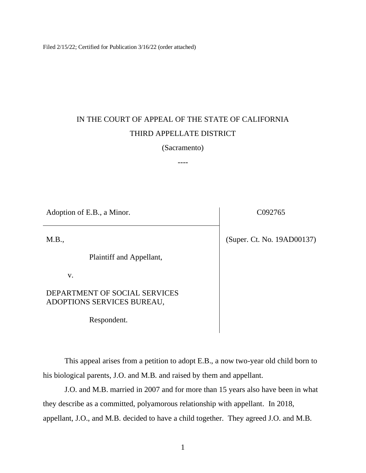Filed 2/15/22; Certified for Publication 3/16/22 (order attached)

# IN THE COURT OF APPEAL OF THE STATE OF CALIFORNIA THIRD APPELLATE DISTRICT

### (Sacramento)

----

Adoption of E.B., a Minor. C092765 M.B., Plaintiff and Appellant, v. DEPARTMENT OF SOCIAL SERVICES ADOPTIONS SERVICES BUREAU, (Super. Ct. No. 19AD00137)

Respondent.

This appeal arises from a petition to adopt E.B., a now two-year old child born to his biological parents, J.O. and M.B. and raised by them and appellant.

J.O. and M.B. married in 2007 and for more than 15 years also have been in what they describe as a committed, polyamorous relationship with appellant. In 2018, appellant, J.O., and M.B. decided to have a child together. They agreed J.O. and M.B.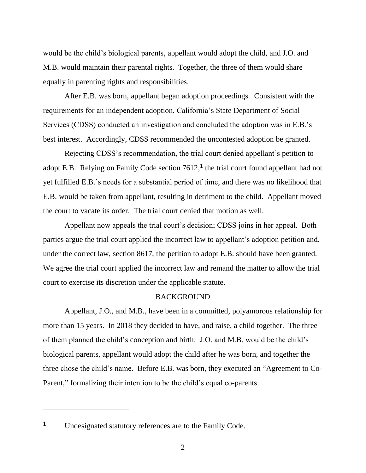would be the child's biological parents, appellant would adopt the child, and J.O. and M.B. would maintain their parental rights. Together, the three of them would share equally in parenting rights and responsibilities.

After E.B. was born, appellant began adoption proceedings. Consistent with the requirements for an independent adoption, California's State Department of Social Services (CDSS) conducted an investigation and concluded the adoption was in E.B.'s best interest. Accordingly, CDSS recommended the uncontested adoption be granted.

Rejecting CDSS's recommendation, the trial court denied appellant's petition to adopt E.B. Relying on Family Code section 7612, **1** the trial court found appellant had not yet fulfilled E.B.'s needs for a substantial period of time, and there was no likelihood that E.B. would be taken from appellant, resulting in detriment to the child. Appellant moved the court to vacate its order. The trial court denied that motion as well.

Appellant now appeals the trial court's decision; CDSS joins in her appeal. Both parties argue the trial court applied the incorrect law to appellant's adoption petition and, under the correct law, section 8617, the petition to adopt E.B. should have been granted. We agree the trial court applied the incorrect law and remand the matter to allow the trial court to exercise its discretion under the applicable statute.

## **BACKGROUND**

Appellant, J.O., and M.B., have been in a committed, polyamorous relationship for more than 15 years. In 2018 they decided to have, and raise, a child together. The three of them planned the child's conception and birth: J.O. and M.B. would be the child's biological parents, appellant would adopt the child after he was born, and together the three chose the child's name. Before E.B. was born, they executed an "Agreement to Co-Parent," formalizing their intention to be the child's equal co-parents.

**<sup>1</sup>** Undesignated statutory references are to the Family Code.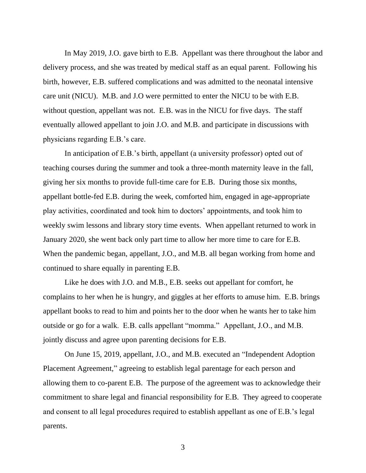In May 2019, J.O. gave birth to E.B. Appellant was there throughout the labor and delivery process, and she was treated by medical staff as an equal parent. Following his birth, however, E.B. suffered complications and was admitted to the neonatal intensive care unit (NICU). M.B. and J.O were permitted to enter the NICU to be with E.B. without question, appellant was not. E.B. was in the NICU for five days. The staff eventually allowed appellant to join J.O. and M.B. and participate in discussions with physicians regarding E.B.'s care.

In anticipation of E.B.'s birth, appellant (a university professor) opted out of teaching courses during the summer and took a three-month maternity leave in the fall, giving her six months to provide full-time care for E.B. During those six months, appellant bottle-fed E.B. during the week, comforted him, engaged in age-appropriate play activities, coordinated and took him to doctors' appointments, and took him to weekly swim lessons and library story time events. When appellant returned to work in January 2020, she went back only part time to allow her more time to care for E.B. When the pandemic began, appellant, J.O., and M.B. all began working from home and continued to share equally in parenting E.B.

Like he does with J.O. and M.B., E.B. seeks out appellant for comfort, he complains to her when he is hungry, and giggles at her efforts to amuse him. E.B. brings appellant books to read to him and points her to the door when he wants her to take him outside or go for a walk. E.B. calls appellant "momma." Appellant, J.O., and M.B. jointly discuss and agree upon parenting decisions for E.B.

On June 15, 2019, appellant, J.O., and M.B. executed an "Independent Adoption Placement Agreement," agreeing to establish legal parentage for each person and allowing them to co-parent E.B. The purpose of the agreement was to acknowledge their commitment to share legal and financial responsibility for E.B. They agreed to cooperate and consent to all legal procedures required to establish appellant as one of E.B.'s legal parents.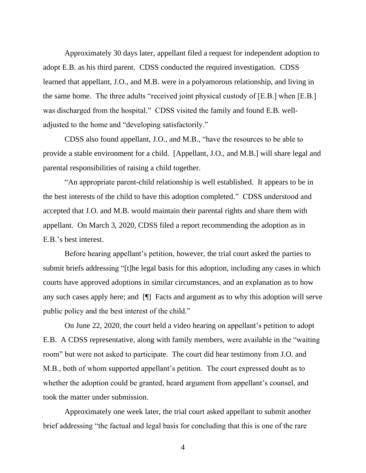Approximately 30 days later, appellant filed a request for independent adoption to adopt E.B. as his third parent. CDSS conducted the required investigation. CDSS learned that appellant, J.O., and M.B. were in a polyamorous relationship, and living in the same home. The three adults "received joint physical custody of [E.B.] when [E.B.] was discharged from the hospital." CDSS visited the family and found E.B. welladjusted to the home and "developing satisfactorily."

CDSS also found appellant, J.O., and M.B., "have the resources to be able to provide a stable environment for a child. [Appellant, J.O., and M.B.] will share legal and parental responsibilities of raising a child together.

"An appropriate parent-child relationship is well established. It appears to be in the best interests of the child to have this adoption completed." CDSS understood and accepted that J.O. and M.B. would maintain their parental rights and share them with appellant. On March 3, 2020, CDSS filed a report recommending the adoption as in E.B.'s best interest.

Before hearing appellant's petition, however, the trial court asked the parties to submit briefs addressing "[t]he legal basis for this adoption, including any cases in which courts have approved adoptions in similar circumstances, and an explanation as to how any such cases apply here; and [¶] Facts and argument as to why this adoption will serve public policy and the best interest of the child."

On June 22, 2020, the court held a video hearing on appellant's petition to adopt E.B. A CDSS representative, along with family members, were available in the "waiting room" but were not asked to participate. The court did hear testimony from J.O. and M.B., both of whom supported appellant's petition. The court expressed doubt as to whether the adoption could be granted, heard argument from appellant's counsel, and took the matter under submission.

Approximately one week later, the trial court asked appellant to submit another brief addressing "the factual and legal basis for concluding that this is one of the rare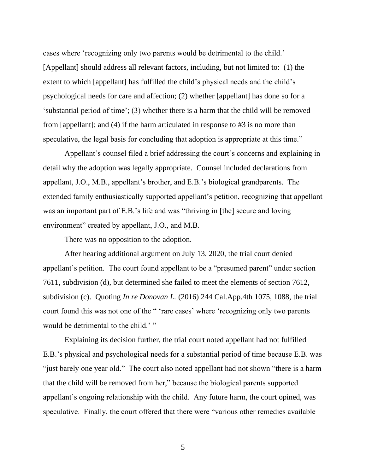cases where 'recognizing only two parents would be detrimental to the child.' [Appellant] should address all relevant factors, including, but not limited to: (1) the extent to which [appellant] has fulfilled the child's physical needs and the child's psychological needs for care and affection; (2) whether [appellant] has done so for a 'substantial period of time'; (3) whether there is a harm that the child will be removed from [appellant]; and (4) if the harm articulated in response to #3 is no more than speculative, the legal basis for concluding that adoption is appropriate at this time."

Appellant's counsel filed a brief addressing the court's concerns and explaining in detail why the adoption was legally appropriate. Counsel included declarations from appellant, J.O., M.B., appellant's brother, and E.B.'s biological grandparents. The extended family enthusiastically supported appellant's petition, recognizing that appellant was an important part of E.B.'s life and was "thriving in [the] secure and loving environment" created by appellant, J.O., and M.B.

There was no opposition to the adoption.

After hearing additional argument on July 13, 2020, the trial court denied appellant's petition. The court found appellant to be a "presumed parent" under section 7611, subdivision (d), but determined she failed to meet the elements of section 7612, subdivision (c). Quoting *In re Donovan L.* (2016) 244 Cal.App.4th 1075, 1088, the trial court found this was not one of the " 'rare cases' where 'recognizing only two parents would be detrimental to the child.' "

Explaining its decision further, the trial court noted appellant had not fulfilled E.B.'s physical and psychological needs for a substantial period of time because E.B. was "just barely one year old." The court also noted appellant had not shown "there is a harm that the child will be removed from her," because the biological parents supported appellant's ongoing relationship with the child. Any future harm, the court opined, was speculative. Finally, the court offered that there were "various other remedies available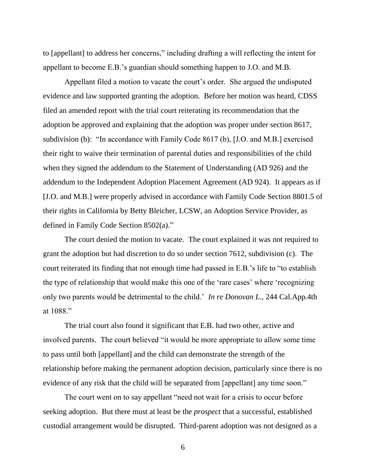to [appellant] to address her concerns," including drafting a will reflecting the intent for appellant to become E.B.'s guardian should something happen to J.O. and M.B.

Appellant filed a motion to vacate the court's order. She argued the undisputed evidence and law supported granting the adoption. Before her motion was heard, CDSS filed an amended report with the trial court reiterating its recommendation that the adoption be approved and explaining that the adoption was proper under section 8617, subdivision (b): "In accordance with Family Code 8617 (b), [J.O. and M.B.] exercised their right to waive their termination of parental duties and responsibilities of the child when they signed the addendum to the Statement of Understanding (AD 926) and the addendum to the Independent Adoption Placement Agreement (AD 924). It appears as if [J.O. and M.B.] were properly advised in accordance with Family Code Section 8801.5 of their rights in California by Betty Bleicher, LCSW, an Adoption Service Provider, as defined in Family Code Section 8502(a)."

The court denied the motion to vacate. The court explained it was not required to grant the adoption but had discretion to do so under section 7612, subdivision (c). The court reiterated its finding that not enough time had passed in E.B.'s life to "to establish the type of relationship that would make this one of the 'rare cases' where 'recognizing only two parents would be detrimental to the child.' *In re Donovan L.*, 244 Cal.App.4th at 1088."

The trial court also found it significant that E.B. had two other, active and involved parents. The court believed "it would be more appropriate to allow some time to pass until both [appellant] and the child can demonstrate the strength of the relationship before making the permanent adoption decision, particularly since there is no evidence of any risk that the child will be separated from [appellant] any time soon."

The court went on to say appellant "need not wait for a crisis to occur before seeking adoption. But there must at least be the *prospect* that a successful, established custodial arrangement would be disrupted. Third-parent adoption was not designed as a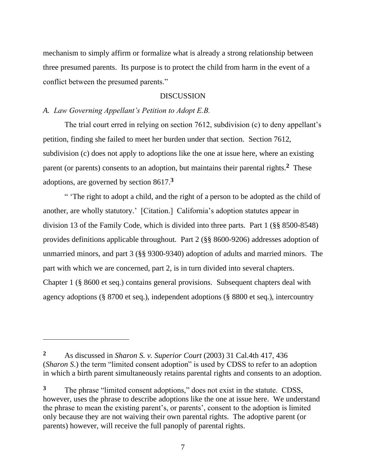mechanism to simply affirm or formalize what is already a strong relationship between three presumed parents. Its purpose is to protect the child from harm in the event of a conflict between the presumed parents."

### DISCUSSION

## *A. Law Governing Appellant's Petition to Adopt E.B.*

The trial court erred in relying on section 7612, subdivision (c) to deny appellant's petition, finding she failed to meet her burden under that section. Section 7612, subdivision (c) does not apply to adoptions like the one at issue here, where an existing parent (or parents) consents to an adoption, but maintains their parental rights.**<sup>2</sup>** These adoptions, are governed by section 8617.**<sup>3</sup>**

" 'The right to adopt a child, and the right of a person to be adopted as the child of another, are wholly statutory.' [Citation.] California's adoption statutes appear in division 13 of the Family Code, which is divided into three parts. Part 1 (§§ 8500-8548) provides definitions applicable throughout. Part 2 (§§ 8600-9206) addresses adoption of unmarried minors, and part 3 (§§ 9300-9340) adoption of adults and married minors. The part with which we are concerned, part 2, is in turn divided into several chapters. Chapter 1 (§ 8600 et seq.) contains general provisions. Subsequent chapters deal with agency adoptions (§ 8700 et seq.), independent adoptions (§ 8800 et seq.), intercountry

**<sup>2</sup>** As discussed in *Sharon S. v. Superior Court* (2003) 31 Cal.4th 417, 436 (*Sharon S*.) the term "limited consent adoption" is used by CDSS to refer to an adoption in which a birth parent simultaneously retains parental rights and consents to an adoption.

**<sup>3</sup>** The phrase "limited consent adoptions," does not exist in the statute. CDSS, however, uses the phrase to describe adoptions like the one at issue here. We understand the phrase to mean the existing parent's, or parents', consent to the adoption is limited only because they are not waiving their own parental rights. The adoptive parent (or parents) however, will receive the full panoply of parental rights.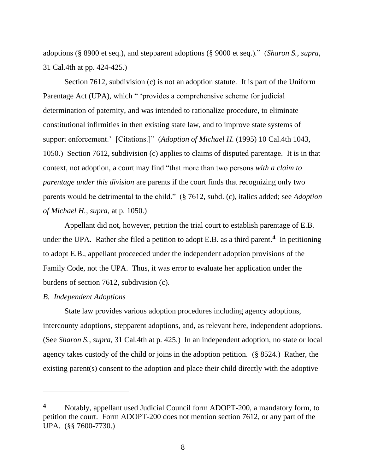adoptions (§ 8900 et seq.), and stepparent adoptions (§ 9000 et seq.)." (*Sharon S., supra*, 31 Cal.4th at pp. 424-425.)

Section 7612, subdivision (c) is not an adoption statute. It is part of the Uniform Parentage Act (UPA), which " 'provides a comprehensive scheme for judicial determination of paternity, and was intended to rationalize procedure, to eliminate constitutional infirmities in then existing state law, and to improve state systems of support enforcement.' [Citations.]" (*Adoption of Michael H.* (1995) 10 Cal.4th 1043, 1050.) Section 7612, subdivision (c) applies to claims of disputed parentage. It is in that context, not adoption, a court may find "that more than two persons *with a claim to parentage under this division* are parents if the court finds that recognizing only two parents would be detrimental to the child." (§ 7612, subd. (c), italics added; see *Adoption of Michael H., supra*, at p. 1050.)

Appellant did not, however, petition the trial court to establish parentage of E.B. under the UPA. Rather she filed a petition to adopt E.B. as a third parent.**<sup>4</sup>** In petitioning to adopt E.B., appellant proceeded under the independent adoption provisions of the Family Code, not the UPA. Thus, it was error to evaluate her application under the burdens of section 7612, subdivision (c).

#### *B. Independent Adoptions*

State law provides various adoption procedures including agency adoptions, intercounty adoptions, stepparent adoptions, and, as relevant here, independent adoptions. (See *Sharon S., supra*, 31 Cal.4th at p. 425.) In an independent adoption, no state or local agency takes custody of the child or joins in the adoption petition. (§ 8524.) Rather, the existing parent(s) consent to the adoption and place their child directly with the adoptive

**<sup>4</sup>** Notably, appellant used Judicial Council form ADOPT-200, a mandatory form, to petition the court. Form ADOPT-200 does not mention section 7612, or any part of the UPA. (§§ 7600-7730.)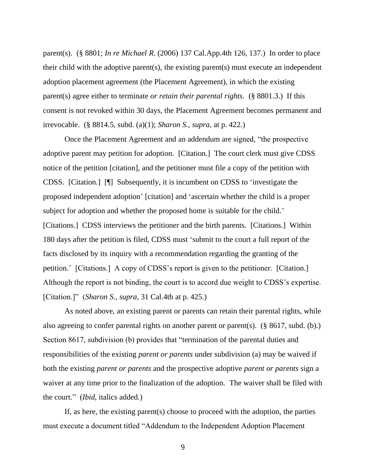parent(s). (§ 8801; *In re Michael R.* (2006) 137 Cal.App.4th 126, 137.) In order to place their child with the adoptive parent(s), the existing parent(s) must execute an independent adoption placement agreement (the Placement Agreement), in which the existing parent(s) agree either to terminate *or retain their parental rights*. (§ 8801.3.) If this consent is not revoked within 30 days, the Placement Agreement becomes permanent and irrevocable. (§ 8814.5, subd. (a)(1); *Sharon S., supra*, at p. 422.)

Once the Placement Agreement and an addendum are signed, "the prospective adoptive parent may petition for adoption. [Citation.] The court clerk must give CDSS notice of the petition [citation], and the petitioner must file a copy of the petition with CDSS. [Citation.] [¶] Subsequently, it is incumbent on CDSS to 'investigate the proposed independent adoption' [citation] and 'ascertain whether the child is a proper subject for adoption and whether the proposed home is suitable for the child.' [Citations.] CDSS interviews the petitioner and the birth parents. [Citations.] Within 180 days after the petition is filed, CDSS must 'submit to the court a full report of the facts disclosed by its inquiry with a recommendation regarding the granting of the petition.' [Citations.] A copy of CDSS's report is given to the petitioner. [Citation.] Although the report is not binding, the court is to accord due weight to CDSS's expertise. [Citation.]" (*Sharon S., supra*, 31 Cal.4th at p. 425.)

As noted above, an existing parent or parents can retain their parental rights, while also agreeing to confer parental rights on another parent or parent(s). (§ 8617, subd. (b).) Section 8617, subdivision (b) provides that "termination of the parental duties and responsibilities of the existing *parent or parents* under subdivision (a) may be waived if both the existing *parent or parents* and the prospective adoptive *parent or parents* sign a waiver at any time prior to the finalization of the adoption. The waiver shall be filed with the court." (*Ibid*, italics added*.*)

If, as here, the existing parent(s) choose to proceed with the adoption, the parties must execute a document titled "Addendum to the Independent Adoption Placement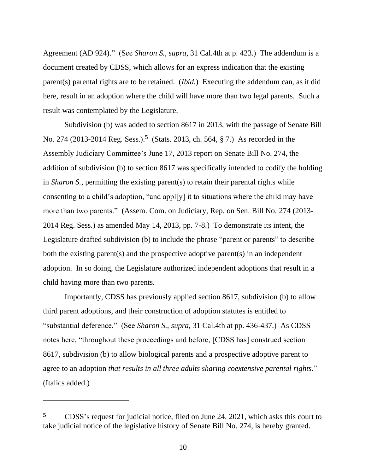Agreement (AD 924)." (See *Sharon S., supra*, 31 Cal.4th at p. 423.) The addendum is a document created by CDSS, which allows for an express indication that the existing parent(s) parental rights are to be retained. (*Ibid.*) Executing the addendum can, as it did here, result in an adoption where the child will have more than two legal parents. Such a result was contemplated by the Legislature.

Subdivision (b) was added to section 8617 in 2013, with the passage of Senate Bill No. 274 (2013-2014 Reg. Sess.). **5** (Stats. 2013, ch. 564, § 7.) As recorded in the Assembly Judiciary Committee's June 17, 2013 report on Senate Bill No. 274, the addition of subdivision (b) to section 8617 was specifically intended to codify the holding in *Sharon S.*, permitting the existing parent(s) to retain their parental rights while consenting to a child's adoption, "and appl[y] it to situations where the child may have more than two parents." (Assem. Com. on Judiciary, Rep. on Sen. Bill No. 274 (2013- 2014 Reg. Sess.) as amended May 14, 2013, pp. 7-8.) To demonstrate its intent, the Legislature drafted subdivision (b) to include the phrase "parent or parents" to describe both the existing parent(s) and the prospective adoptive parent(s) in an independent adoption. In so doing, the Legislature authorized independent adoptions that result in a child having more than two parents.

Importantly, CDSS has previously applied section 8617, subdivision (b) to allow third parent adoptions, and their construction of adoption statutes is entitled to "substantial deference." (See *Sharon S., supra*, 31 Cal.4th at pp. 436-437.) As CDSS notes here, "throughout these proceedings and before, [CDSS has] construed section 8617, subdivision (b) to allow biological parents and a prospective adoptive parent to agree to an adoption *that results in all three adults sharing coextensive parental rights*." (Italics added.)

**<sup>5</sup>** CDSS's request for judicial notice, filed on June 24, 2021, which asks this court to take judicial notice of the legislative history of Senate Bill No. 274, is hereby granted.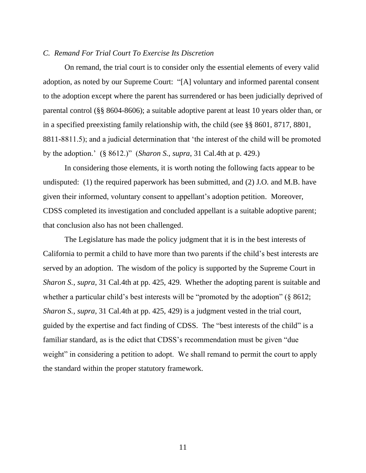#### *C. Remand For Trial Court To Exercise Its Discretion*

On remand, the trial court is to consider only the essential elements of every valid adoption, as noted by our Supreme Court: "[A] voluntary and informed parental consent to the adoption except where the parent has surrendered or has been judicially deprived of parental control (§§ 8604-8606); a suitable adoptive parent at least 10 years older than, or in a specified preexisting family relationship with, the child (see §§ 8601, 8717, 8801, 8811-8811.5); and a judicial determination that 'the interest of the child will be promoted by the adoption.' (§ 8612.)" (*Sharon S., supra*, 31 Cal.4th at p. 429.)

In considering those elements, it is worth noting the following facts appear to be undisputed: (1) the required paperwork has been submitted, and (2) J.O. and M.B. have given their informed, voluntary consent to appellant's adoption petition. Moreover, CDSS completed its investigation and concluded appellant is a suitable adoptive parent; that conclusion also has not been challenged.

The Legislature has made the policy judgment that it is in the best interests of California to permit a child to have more than two parents if the child's best interests are served by an adoption. The wisdom of the policy is supported by the Supreme Court in *Sharon S., supra*, 31 Cal.4th at pp. 425, 429. Whether the adopting parent is suitable and whether a particular child's best interests will be "promoted by the adoption" (§ 8612; *Sharon S., supra*, 31 Cal.4th at pp. 425, 429) is a judgment vested in the trial court, guided by the expertise and fact finding of CDSS. The "best interests of the child" is a familiar standard, as is the edict that CDSS's recommendation must be given "due weight" in considering a petition to adopt. We shall remand to permit the court to apply the standard within the proper statutory framework.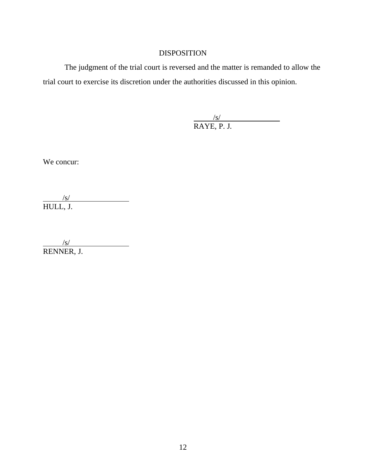## DISPOSITION

The judgment of the trial court is reversed and the matter is remanded to allow the trial court to exercise its discretion under the authorities discussed in this opinion.

> $\frac{1}{\sqrt{S}}$ RAYE, P. J.

We concur:

 $/$ s/ HULL, J.

 $/$ s/ RENNER, J.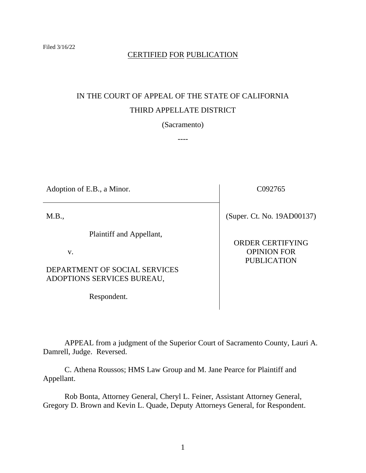# CERTIFIED FOR PUBLICATION

# IN THE COURT OF APPEAL OF THE STATE OF CALIFORNIA THIRD APPELLATE DISTRICT

(Sacramento)

----

| Adoption of E.B., a Minor.                                                                    | C092765                                                             |
|-----------------------------------------------------------------------------------------------|---------------------------------------------------------------------|
| M.B.,                                                                                         | (Super. Ct. No. 19AD00137)                                          |
| Plaintiff and Appellant,<br>V.<br>DEPARTMENT OF SOCIAL SERVICES<br>ADOPTIONS SERVICES BUREAU, | <b>ORDER CERTIFYING</b><br><b>OPINION FOR</b><br><b>PUBLICATION</b> |

Respondent.

APPEAL from a judgment of the Superior Court of Sacramento County, Lauri A. Damrell, Judge. Reversed.

C. Athena Roussos; HMS Law Group and M. Jane Pearce for Plaintiff and Appellant.

Rob Bonta, Attorney General, Cheryl L. Feiner, Assistant Attorney General, Gregory D. Brown and Kevin L. Quade, Deputy Attorneys General, for Respondent.